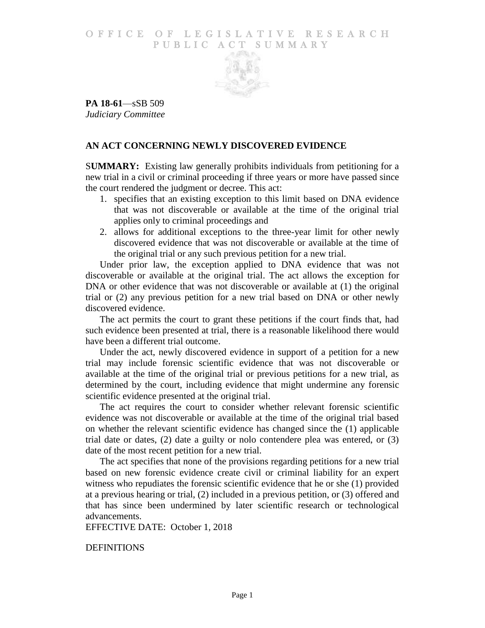## O F FICE OF LEGISLATIVE RESEARCH PUBLIC ACT SUMMARY



**PA 18-61**—sSB 509 *Judiciary Committee*

## **AN ACT CONCERNING NEWLY DISCOVERED EVIDENCE**

S**UMMARY:** Existing law generally prohibits individuals from petitioning for a new trial in a civil or criminal proceeding if three years or more have passed since the court rendered the judgment or decree. This act:

- 1. specifies that an existing exception to this limit based on DNA evidence that was not discoverable or available at the time of the original trial applies only to criminal proceedings and
- 2. allows for additional exceptions to the three-year limit for other newly discovered evidence that was not discoverable or available at the time of the original trial or any such previous petition for a new trial.

Under prior law, the exception applied to DNA evidence that was not discoverable or available at the original trial. The act allows the exception for DNA or other evidence that was not discoverable or available at (1) the original trial or (2) any previous petition for a new trial based on DNA or other newly discovered evidence.

The act permits the court to grant these petitions if the court finds that, had such evidence been presented at trial, there is a reasonable likelihood there would have been a different trial outcome.

Under the act, newly discovered evidence in support of a petition for a new trial may include forensic scientific evidence that was not discoverable or available at the time of the original trial or previous petitions for a new trial, as determined by the court, including evidence that might undermine any forensic scientific evidence presented at the original trial.

The act requires the court to consider whether relevant forensic scientific evidence was not discoverable or available at the time of the original trial based on whether the relevant scientific evidence has changed since the (1) applicable trial date or dates, (2) date a guilty or nolo contendere plea was entered, or (3) date of the most recent petition for a new trial.

The act specifies that none of the provisions regarding petitions for a new trial based on new forensic evidence create civil or criminal liability for an expert witness who repudiates the forensic scientific evidence that he or she (1) provided at a previous hearing or trial, (2) included in a previous petition, or (3) offered and that has since been undermined by later scientific research or technological advancements.

EFFECTIVE DATE: October 1, 2018

**DEFINITIONS**